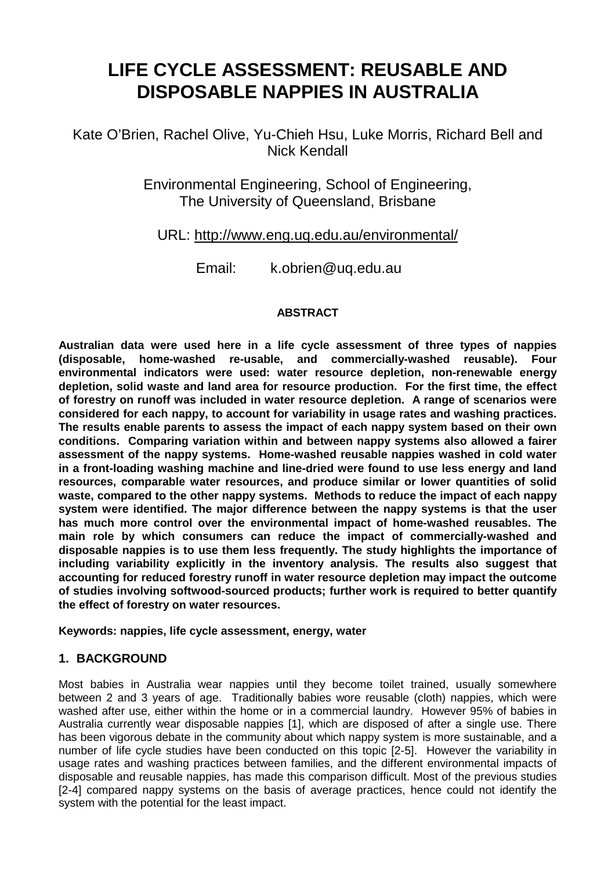# **LIFE CYCLE ASSESSMENT: REUSABLE AND DISPOSABLE NAPPIES IN AUSTRALIA**

Kate O'Brien, Rachel Olive, Yu-Chieh Hsu, Luke Morris, Richard Bell and Nick Kendall

> Environmental Engineering, School of Engineering, The University of Queensland, Brisbane

## URL: http://www.eng.uq.edu.au/environmental/

Email: k.obrien@uq.edu.au

#### **ABSTRACT**

**Australian data were used here in a life cycle assessment of three types of nappies (disposable, home-washed re-usable, and commercially-washed reusable). Four environmental indicators were used: water resource depletion, non-renewable energy depletion, solid waste and land area for resource production. For the first time, the effect of forestry on runoff was included in water resource depletion. A range of scenarios were considered for each nappy, to account for variability in usage rates and washing practices. The results enable parents to assess the impact of each nappy system based on their own conditions. Comparing variation within and between nappy systems also allowed a fairer assessment of the nappy systems. Home-washed reusable nappies washed in cold water in a front-loading washing machine and line-dried were found to use less energy and land resources, comparable water resources, and produce similar or lower quantities of solid waste, compared to the other nappy systems. Methods to reduce the impact of each nappy system were identified. The major difference between the nappy systems is that the user has much more control over the environmental impact of home-washed reusables. The main role by which consumers can reduce the impact of commercially-washed and disposable nappies is to use them less frequently. The study highlights the importance of including variability explicitly in the inventory analysis. The results also suggest that accounting for reduced forestry runoff in water resource depletion may impact the outcome of studies involving softwood-sourced products; further work is required to better quantify the effect of forestry on water resources.** 

**Keywords: nappies, life cycle assessment, energy, water** 

#### **1. BACKGROUND**

Most babies in Australia wear nappies until they become toilet trained, usually somewhere between 2 and 3 years of age. Traditionally babies wore reusable (cloth) nappies, which were washed after use, either within the home or in a commercial laundry. However 95% of babies in Australia currently wear disposable nappies [1], which are disposed of after a single use. There has been vigorous debate in the community about which nappy system is more sustainable, and a number of life cycle studies have been conducted on this topic [2-5]. However the variability in usage rates and washing practices between families, and the different environmental impacts of disposable and reusable nappies, has made this comparison difficult. Most of the previous studies [2-4] compared nappy systems on the basis of average practices, hence could not identify the system with the potential for the least impact.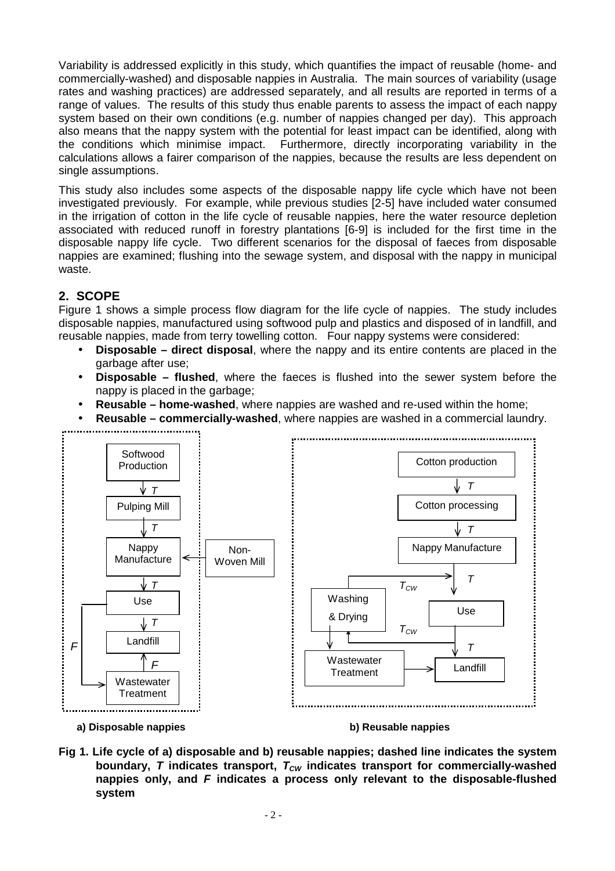Variability is addressed explicitly in this study, which quantifies the impact of reusable (home- and commercially-washed) and disposable nappies in Australia. The main sources of variability (usage rates and washing practices) are addressed separately, and all results are reported in terms of a range of values. The results of this study thus enable parents to assess the impact of each nappy system based on their own conditions (e.g. number of nappies changed per day). This approach also means that the nappy system with the potential for least impact can be identified, along with the conditions which minimise impact. Furthermore, directly incorporating variability in the calculations allows a fairer comparison of the nappies, because the results are less dependent on single assumptions.

This study also includes some aspects of the disposable nappy life cycle which have not been investigated previously. For example, while previous studies [2-5] have included water consumed in the irrigation of cotton in the life cycle of reusable nappies, here the water resource depletion associated with reduced runoff in forestry plantations [6-9] is included for the first time in the disposable nappy life cycle. Two different scenarios for the disposal of faeces from disposable nappies are examined; flushing into the sewage system, and disposal with the nappy in municipal waste.

## **2. SCOPE**

Figure 1 shows a simple process flow diagram for the life cycle of nappies. The study includes disposable nappies, manufactured using softwood pulp and plastics and disposed of in landfill, and reusable nappies, made from terry towelling cotton. Four nappy systems were considered:

- **Disposable direct disposal**, where the nappy and its entire contents are placed in the garbage after use;
- **Disposable flushed**, where the faeces is flushed into the sewer system before the nappy is placed in the garbage;
- **Reusable home-washed**, where nappies are washed and re-used within the home;
- **Reusable commercially-washed**, where nappies are washed in a commercial laundry.





**Fig 1. Life cycle of a) disposable and b) reusable nappies; dashed line indicates the system boundary, T** indicates transport,  $T_{CW}$  indicates transport for commercially-washed **nappies only, and F indicates a process only relevant to the disposable-flushed system**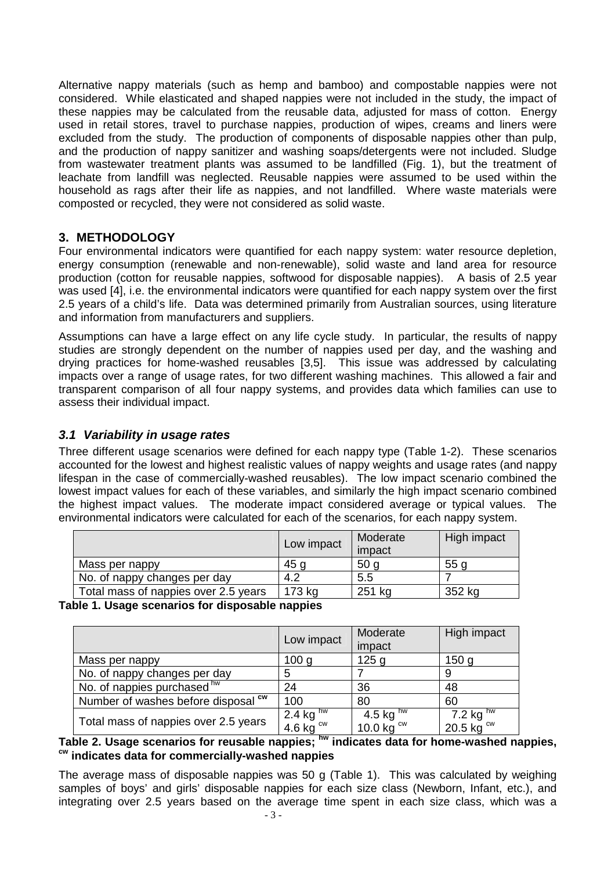Alternative nappy materials (such as hemp and bamboo) and compostable nappies were not considered. While elasticated and shaped nappies were not included in the study, the impact of these nappies may be calculated from the reusable data, adjusted for mass of cotton. Energy used in retail stores, travel to purchase nappies, production of wipes, creams and liners were excluded from the study. The production of components of disposable nappies other than pulp, and the production of nappy sanitizer and washing soaps/detergents were not included. Sludge from wastewater treatment plants was assumed to be landfilled (Fig. 1), but the treatment of leachate from landfill was neglected. Reusable nappies were assumed to be used within the household as rags after their life as nappies, and not landfilled. Where waste materials were composted or recycled, they were not considered as solid waste.

#### **3. METHODOLOGY**

Four environmental indicators were quantified for each nappy system: water resource depletion, energy consumption (renewable and non-renewable), solid waste and land area for resource production (cotton for reusable nappies, softwood for disposable nappies). A basis of 2.5 year was used [4], i.e. the environmental indicators were quantified for each nappy system over the first 2.5 years of a child's life. Data was determined primarily from Australian sources, using literature and information from manufacturers and suppliers.

Assumptions can have a large effect on any life cycle study. In particular, the results of nappy studies are strongly dependent on the number of nappies used per day, and the washing and drying practices for home-washed reusables [3,5]. This issue was addressed by calculating impacts over a range of usage rates, for two different washing machines. This allowed a fair and transparent comparison of all four nappy systems, and provides data which families can use to assess their individual impact.

#### **3.1 Variability in usage rates**

Three different usage scenarios were defined for each nappy type (Table 1-2). These scenarios accounted for the lowest and highest realistic values of nappy weights and usage rates (and nappy lifespan in the case of commercially-washed reusables). The low impact scenario combined the lowest impact values for each of these variables, and similarly the high impact scenario combined the highest impact values. The moderate impact considered average or typical values. The environmental indicators were calculated for each of the scenarios, for each nappy system.

|                                      | Low impact | Moderate<br>impact | High impact |
|--------------------------------------|------------|--------------------|-------------|
| Mass per nappy                       | 45 o       | 50 <sub>q</sub>    | 55 g        |
| No. of nappy changes per day         | 4.2        | 5.5                |             |
| Total mass of nappies over 2.5 years | 173 kg     | 251 kg             | 352 kg      |

**Table 1. Usage scenarios for disposable nappies** 

|                                      | Low impact                                           | Moderate<br>impact                | High impact                                                      |
|--------------------------------------|------------------------------------------------------|-----------------------------------|------------------------------------------------------------------|
| Mass per nappy                       | 100 <sub>q</sub>                                     | 125 <sub>q</sub>                  | 150 <sub>q</sub>                                                 |
| No. of nappy changes per day         | 5                                                    |                                   |                                                                  |
| No. of nappies purchased hw          | 24                                                   | 36                                | 48                                                               |
| Number of washes before disposal cw  | 100                                                  | 80                                | 60                                                               |
| Total mass of nappies over 2.5 years | $2.4 \text{ kg}^{\text{hw}}$<br>4.6 kg <sup>cw</sup> | 4.5 kg $h$ w<br>10.0 kg $\rm{cm}$ | $\frac{7.2 \text{ kg}^{\text{hw}}}{20.5 \text{ kg}^{\text{cw}}}$ |

#### **Table 2. Usage scenarios for reusable nappies; hw indicates data for home-washed nappies, cw indicates data for commercially-washed nappies**

The average mass of disposable nappies was 50 g (Table 1). This was calculated by weighing samples of boys' and girls' disposable nappies for each size class (Newborn, Infant, etc.), and integrating over 2.5 years based on the average time spent in each size class, which was a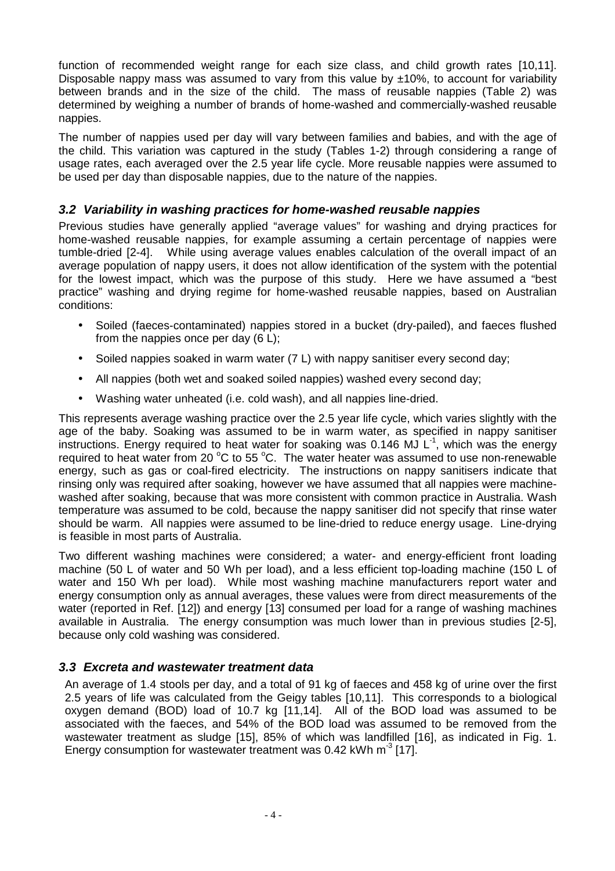function of recommended weight range for each size class, and child growth rates [10,11]. Disposable nappy mass was assumed to vary from this value by  $\pm 10\%$ , to account for variability between brands and in the size of the child. The mass of reusable nappies (Table 2) was determined by weighing a number of brands of home-washed and commercially-washed reusable nappies.

The number of nappies used per day will vary between families and babies, and with the age of the child. This variation was captured in the study (Tables 1-2) through considering a range of usage rates, each averaged over the 2.5 year life cycle. More reusable nappies were assumed to be used per day than disposable nappies, due to the nature of the nappies.

#### **3.2 Variability in washing practices for home-washed reusable nappies**

Previous studies have generally applied "average values" for washing and drying practices for home-washed reusable nappies, for example assuming a certain percentage of nappies were tumble-dried [2-4]. While using average values enables calculation of the overall impact of an average population of nappy users, it does not allow identification of the system with the potential for the lowest impact, which was the purpose of this study. Here we have assumed a "best practice" washing and drying regime for home-washed reusable nappies, based on Australian conditions:

- Soiled (faeces-contaminated) nappies stored in a bucket (dry-pailed), and faeces flushed from the nappies once per day (6 L);
- Soiled nappies soaked in warm water (7 L) with nappy sanitiser every second day;
- All nappies (both wet and soaked soiled nappies) washed every second day;
- Washing water unheated (i.e. cold wash), and all nappies line-dried.

This represents average washing practice over the 2.5 year life cycle, which varies slightly with the age of the baby. Soaking was assumed to be in warm water, as specified in nappy sanitiser instructions. Energy required to heat water for soaking was 0.146 MJ  $L^{-1}$ , which was the energy required to heat water from 20  $^{\circ}$ C to 55  $^{\circ}$ C. The water heater was assumed to use non-renewable energy, such as gas or coal-fired electricity. The instructions on nappy sanitisers indicate that rinsing only was required after soaking, however we have assumed that all nappies were machinewashed after soaking, because that was more consistent with common practice in Australia. Wash temperature was assumed to be cold, because the nappy sanitiser did not specify that rinse water should be warm. All nappies were assumed to be line-dried to reduce energy usage. Line-drying is feasible in most parts of Australia.

Two different washing machines were considered; a water- and energy-efficient front loading machine (50 L of water and 50 Wh per load), and a less efficient top-loading machine (150 L of water and 150 Wh per load). While most washing machine manufacturers report water and energy consumption only as annual averages, these values were from direct measurements of the water (reported in Ref. [12]) and energy [13] consumed per load for a range of washing machines available in Australia. The energy consumption was much lower than in previous studies [2-5], because only cold washing was considered.

#### **3.3 Excreta and wastewater treatment data**

An average of 1.4 stools per day, and a total of 91 kg of faeces and 458 kg of urine over the first 2.5 years of life was calculated from the Geigy tables [10,11]. This corresponds to a biological oxygen demand (BOD) load of 10.7 kg [11,14]. All of the BOD load was assumed to be associated with the faeces, and 54% of the BOD load was assumed to be removed from the wastewater treatment as sludge [15], 85% of which was landfilled [16], as indicated in Fig. 1. Energy consumption for wastewater treatment was  $0.42$  kWh m<sup>-3</sup> [17].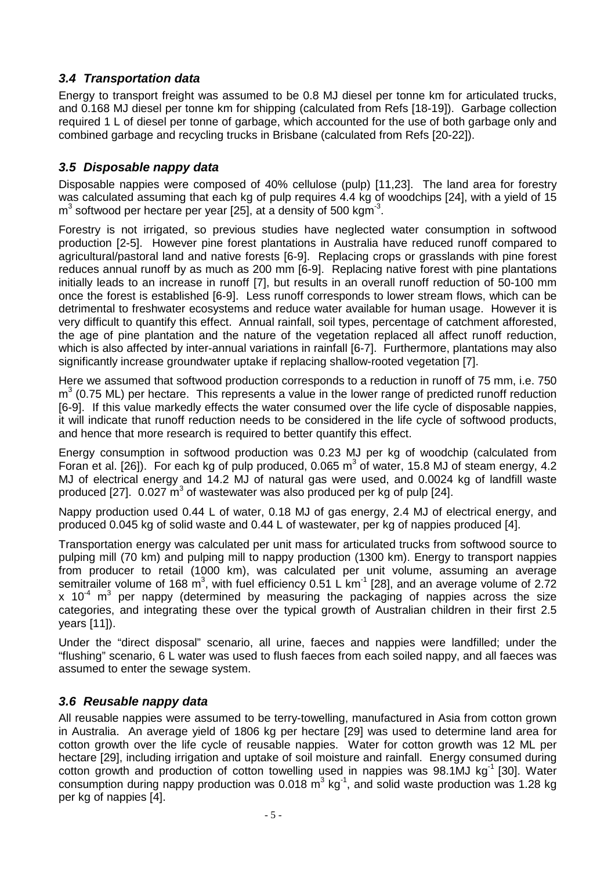## **3.4 Transportation data**

Energy to transport freight was assumed to be 0.8 MJ diesel per tonne km for articulated trucks, and 0.168 MJ diesel per tonne km for shipping (calculated from Refs [18-19]). Garbage collection required 1 L of diesel per tonne of garbage, which accounted for the use of both garbage only and combined garbage and recycling trucks in Brisbane (calculated from Refs [20-22]).

#### **3.5 Disposable nappy data**

Disposable nappies were composed of 40% cellulose (pulp) [11,23]. The land area for forestry was calculated assuming that each kg of pulp requires 4.4 kg of woodchips [24], with a yield of 15  $\text{m}^3$  softwood per hectare per year [25], at a density of 500 kgm<sup>-3</sup>.

Forestry is not irrigated, so previous studies have neglected water consumption in softwood production [2-5]. However pine forest plantations in Australia have reduced runoff compared to agricultural/pastoral land and native forests [6-9]. Replacing crops or grasslands with pine forest reduces annual runoff by as much as 200 mm [6-9]. Replacing native forest with pine plantations initially leads to an increase in runoff [7], but results in an overall runoff reduction of 50-100 mm once the forest is established [6-9]. Less runoff corresponds to lower stream flows, which can be detrimental to freshwater ecosystems and reduce water available for human usage. However it is very difficult to quantify this effect. Annual rainfall, soil types, percentage of catchment afforested, the age of pine plantation and the nature of the vegetation replaced all affect runoff reduction, which is also affected by inter-annual variations in rainfall [6-7]. Furthermore, plantations may also significantly increase groundwater uptake if replacing shallow-rooted vegetation [7].

Here we assumed that softwood production corresponds to a reduction in runoff of 75 mm, i.e. 750  $m<sup>3</sup>$  (0.75 ML) per hectare. This represents a value in the lower range of predicted runoff reduction [6-9]. If this value markedly effects the water consumed over the life cycle of disposable nappies, it will indicate that runoff reduction needs to be considered in the life cycle of softwood products, and hence that more research is required to better quantify this effect.

Energy consumption in softwood production was 0.23 MJ per kg of woodchip (calculated from Foran et al. [26]). For each kg of pulp produced, 0.065  $m^3$  of water, 15.8 MJ of steam energy, 4.2 MJ of electrical energy and 14.2 MJ of natural gas were used, and 0.0024 kg of landfill waste produced [27].  $0.027 \text{ m}^3$  of wastewater was also produced per kg of pulp [24].

Nappy production used 0.44 L of water, 0.18 MJ of gas energy, 2.4 MJ of electrical energy, and produced 0.045 kg of solid waste and 0.44 L of wastewater, per kg of nappies produced [4].

Transportation energy was calculated per unit mass for articulated trucks from softwood source to pulping mill (70 km) and pulping mill to nappy production (1300 km). Energy to transport nappies from producer to retail (1000 km), was calculated per unit volume, assuming an average semitrailer volume of 168 m<sup>3</sup>, with fuel efficiency 0.51 L km<sup>-1</sup> [28], and an average volume of 2.72 x 10<sup> $4$ </sup> m<sup>3</sup> per nappy (determined by measuring the packaging of nappies across the size categories, and integrating these over the typical growth of Australian children in their first 2.5 years [11]).

Under the "direct disposal" scenario, all urine, faeces and nappies were landfilled; under the "flushing" scenario, 6 L water was used to flush faeces from each soiled nappy, and all faeces was assumed to enter the sewage system.

## **3.6 Reusable nappy data**

All reusable nappies were assumed to be terry-towelling, manufactured in Asia from cotton grown in Australia. An average yield of 1806 kg per hectare [29] was used to determine land area for cotton growth over the life cycle of reusable nappies. Water for cotton growth was 12 ML per hectare [29], including irrigation and uptake of soil moisture and rainfall. Energy consumed during cotton growth and production of cotton towelling used in nappies was  $98.1$ MJ kg<sup>-1</sup> [30]. Water consumption during nappy production was  $0.018 \text{ m}^3 \text{ kg}^1$ , and solid waste production was 1.28 kg per kg of nappies [4].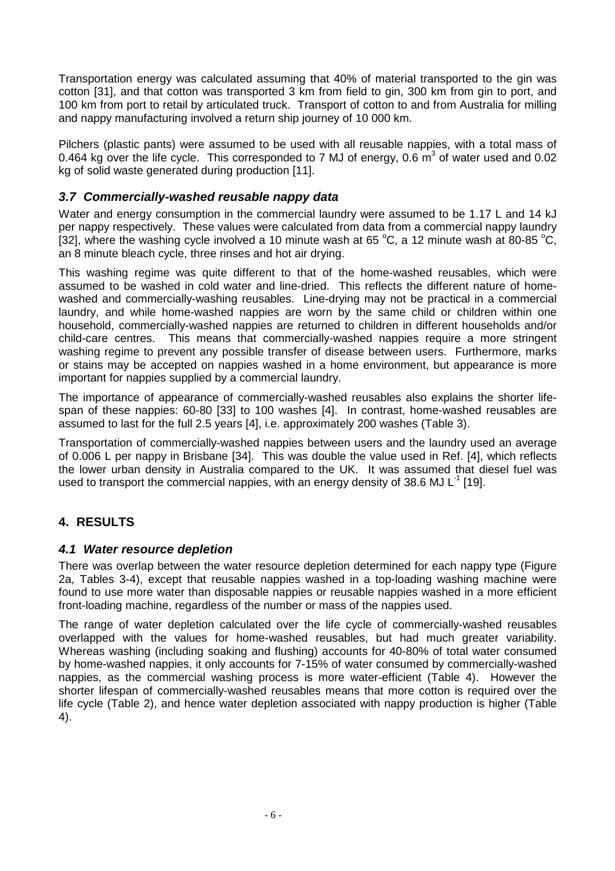Transportation energy was calculated assuming that 40% of material transported to the gin was cotton [31], and that cotton was transported 3 km from field to gin, 300 km from gin to port, and 100 km from port to retail by articulated truck. Transport of cotton to and from Australia for milling and nappy manufacturing involved a return ship journey of 10 000 km.

Pilchers (plastic pants) were assumed to be used with all reusable nappies, with a total mass of 0.464 kg over the life cycle. This corresponded to 7 MJ of energy, 0.6  $\text{m}^3$  of water used and 0.02 kg of solid waste generated during production [11].

## **3.7 Commercially-washed reusable nappy data**

Water and energy consumption in the commercial laundry were assumed to be 1.17 L and 14 kJ per nappy respectively. These values were calculated from data from a commercial nappy laundry [32], where the washing cycle involved a 10 minute wash at 65  $^{\circ}$ C, a 12 minute wash at 80-85  $^{\circ}$ C, an 8 minute bleach cycle, three rinses and hot air drying.

This washing regime was quite different to that of the home-washed reusables, which were assumed to be washed in cold water and line-dried. This reflects the different nature of homewashed and commercially-washing reusables. Line-drying may not be practical in a commercial laundry, and while home-washed nappies are worn by the same child or children within one household, commercially-washed nappies are returned to children in different households and/or child-care centres. This means that commercially-washed nappies require a more stringent washing regime to prevent any possible transfer of disease between users. Furthermore, marks or stains may be accepted on nappies washed in a home environment, but appearance is more important for nappies supplied by a commercial laundry.

The importance of appearance of commercially-washed reusables also explains the shorter lifespan of these nappies: 60-80 [33] to 100 washes [4]. In contrast, home-washed reusables are assumed to last for the full 2.5 years [4], i.e. approximately 200 washes (Table 3).

Transportation of commercially-washed nappies between users and the laundry used an average of 0.006 L per nappy in Brisbane [34]. This was double the value used in Ref. [4], which reflects the lower urban density in Australia compared to the UK. It was assumed that diesel fuel was used to transport the commercial nappies, with an energy density of 38.6 MJ  $L^{-1}$  [19].

## **4. RESULTS**

#### **4.1 Water resource depletion**

There was overlap between the water resource depletion determined for each nappy type (Figure 2a, Tables 3-4), except that reusable nappies washed in a top-loading washing machine were found to use more water than disposable nappies or reusable nappies washed in a more efficient front-loading machine, regardless of the number or mass of the nappies used.

The range of water depletion calculated over the life cycle of commercially-washed reusables overlapped with the values for home-washed reusables, but had much greater variability. Whereas washing (including soaking and flushing) accounts for 40-80% of total water consumed by home-washed nappies, it only accounts for 7-15% of water consumed by commercially-washed nappies, as the commercial washing process is more water-efficient (Table 4). However the shorter lifespan of commercially-washed reusables means that more cotton is required over the life cycle (Table 2), and hence water depletion associated with nappy production is higher (Table 4).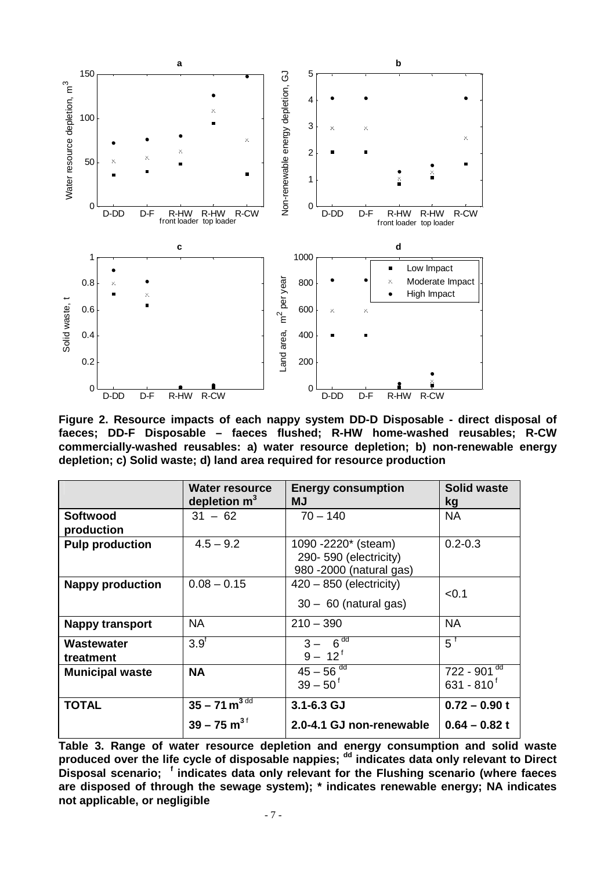

**Figure 2. Resource impacts of each nappy system DD-D Disposable - direct disposal of faeces; DD-F Disposable – faeces flushed; R-HW home-washed reusables; R-CW commercially-washed reusables: a) water resource depletion; b) non-renewable energy depletion; c) Solid waste; d) land area required for resource production** 

|                               | Water resource<br>depletion $m^3$   | <b>Energy consumption</b><br>МJ                                         | <b>Solid waste</b><br>kg                     |
|-------------------------------|-------------------------------------|-------------------------------------------------------------------------|----------------------------------------------|
| <b>Softwood</b><br>production | $31 - 62$                           | $70 - 140$                                                              | <b>NA</b>                                    |
| <b>Pulp production</b>        | $4.5 - 9.2$                         | 1090 -2220* (steam)<br>290-590 (electricity)<br>980 -2000 (natural gas) | $0.2 - 0.3$                                  |
| <b>Nappy production</b>       | $0.08 - 0.15$                       | $420 - 850$ (electricity)<br>$30 - 60$ (natural gas)                    | < 0.1                                        |
| <b>Nappy transport</b>        | <b>NA</b>                           | $210 - 390$                                                             | <b>NA</b>                                    |
| Wastewater<br>treatment       | 3.9 <sup>t</sup>                    | $3 - 6^{dd}$<br>$9 - 12^{f}$                                            | $5^{\frac{1}{3}}$                            |
| <b>Municipal waste</b>        | <b>NA</b>                           | $45 - 56$ <sup>dd</sup><br>$39 - 50^{\circ}$                            | $722 - 901$ <sup>dd</sup><br>$631 - 810^{6}$ |
| <b>TOTAL</b>                  | $35 - 71 \text{ m}^3$ <sup>dd</sup> | $3.1 - 6.3$ GJ                                                          | $0.72 - 0.90 t$                              |
|                               | $39 - 75$ m <sup>3f</sup>           | 2.0-4.1 GJ non-renewable                                                | $0.64 - 0.82t$                               |

**Table 3. Range of water resource depletion and energy consumption and solid waste**  produced over the life cycle of disposable nappies; <sup>dd</sup> indicates data only relevant to Direct **Disposal scenario; <sup>f</sup> indicates data only relevant for the Flushing scenario (where faeces are disposed of through the sewage system); \* indicates renewable energy; NA indicates not applicable, or negligible**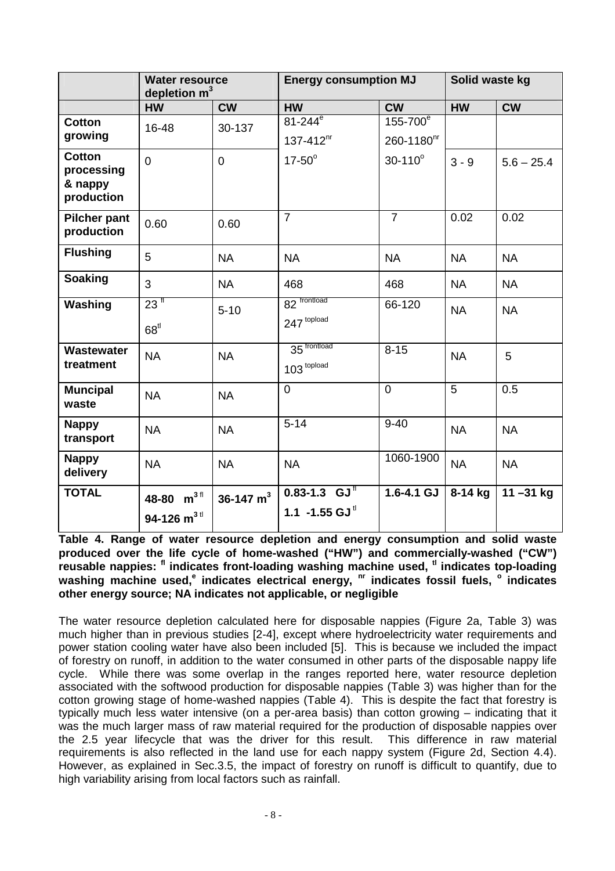|                           | <b>Water resource</b><br>depletion $m3$ |             | <b>Energy consumption MJ</b> |                        | Solid waste kg |              |
|---------------------------|-----------------------------------------|-------------|------------------------------|------------------------|----------------|--------------|
|                           | <b>HW</b>                               | <b>CW</b>   | <b>HW</b>                    | <b>CW</b>              | <b>HW</b>      | <b>CW</b>    |
| <b>Cotton</b>             | 16-48                                   | 30-137      | $81 - 244^{\overline{e}}$    | 155-700 <sup>e</sup>   |                |              |
| growing                   |                                         |             | $137 - 412$ <sup>nr</sup>    | 260-1180 <sup>hr</sup> |                |              |
| <b>Cotton</b>             | $\overline{0}$                          | $\mathbf 0$ | $17-50^\circ$                | $30 - 110^{\circ}$     | $3 - 9$        | $5.6 - 25.4$ |
| processing<br>& nappy     |                                         |             |                              |                        |                |              |
| production                |                                         |             |                              |                        |                |              |
| <b>Pilcher pant</b>       | 0.60                                    | 0.60        | $\overline{7}$               | $\overline{7}$         | 0.02           | 0.02         |
| production                |                                         |             |                              |                        |                |              |
| <b>Flushing</b>           | 5                                       | <b>NA</b>   | <b>NA</b>                    | <b>NA</b>              | <b>NA</b>      | <b>NA</b>    |
| <b>Soaking</b>            | 3                                       | <b>NA</b>   | 468                          | 468                    | <b>NA</b>      | <b>NA</b>    |
| Washing                   | $23$ <sup>fl</sup>                      | $5 - 10$    | 82 frontload                 | 66-120                 | <b>NA</b>      | <b>NA</b>    |
|                           | 68 <sup>tl</sup>                        |             | 247 topload                  |                        |                |              |
| <b>Wastewater</b>         | <b>NA</b>                               | <b>NA</b>   | 35 frontload                 | $8 - 15$               | <b>NA</b>      | 5            |
| treatment                 |                                         |             | 103 topload                  |                        |                |              |
| <b>Muncipal</b>           | <b>NA</b>                               | <b>NA</b>   | $\mathbf 0$                  | $\overline{0}$         | 5              | 0.5          |
| waste                     |                                         |             |                              |                        |                |              |
| <b>Nappy</b><br>transport | <b>NA</b>                               | <b>NA</b>   | $5 - 14$                     | $9 - 40$               | <b>NA</b>      | <b>NA</b>    |
| <b>Nappy</b><br>delivery  | <b>NA</b>                               | <b>NA</b>   | <b>NA</b>                    | 1060-1900              | <b>NA</b>      | <b>NA</b>    |
| <b>TOTAL</b>              | 48-80 $m^{3}$ <sup>fl</sup>             | 36-147 $m3$ | $0.83 - 1.3$ GJ <sup>T</sup> | $1.6 - 4.1$ GJ         | 8-14 kg        | $11 - 31$ kg |
|                           | 94-126 $m^{3}$ <sup>tl</sup>            |             | 1.1 -1.55 GJ <sup>tl</sup>   |                        |                |              |
|                           |                                         |             |                              |                        |                |              |

**Table 4. Range of water resource depletion and energy consumption and solid waste produced over the life cycle of home-washed ("HW") and commercially-washed ("CW") reusable nappies: fl indicates front-loading washing machine used, tl indicates top-loading washing machine used,<sup>e</sup> indicates electrical energy, nr indicates fossil fuels, <sup>o</sup> indicates other energy source; NA indicates not applicable, or negligible** 

The water resource depletion calculated here for disposable nappies (Figure 2a, Table 3) was much higher than in previous studies [2-4], except where hydroelectricity water requirements and power station cooling water have also been included [5]. This is because we included the impact of forestry on runoff, in addition to the water consumed in other parts of the disposable nappy life cycle. While there was some overlap in the ranges reported here, water resource depletion associated with the softwood production for disposable nappies (Table 3) was higher than for the cotton growing stage of home-washed nappies (Table 4). This is despite the fact that forestry is typically much less water intensive (on a per-area basis) than cotton growing – indicating that it was the much larger mass of raw material required for the production of disposable nappies over the 2.5 year lifecycle that was the driver for this result. This difference in raw material requirements is also reflected in the land use for each nappy system (Figure 2d, Section 4.4). However, as explained in Sec.3.5, the impact of forestry on runoff is difficult to quantify, due to high variability arising from local factors such as rainfall.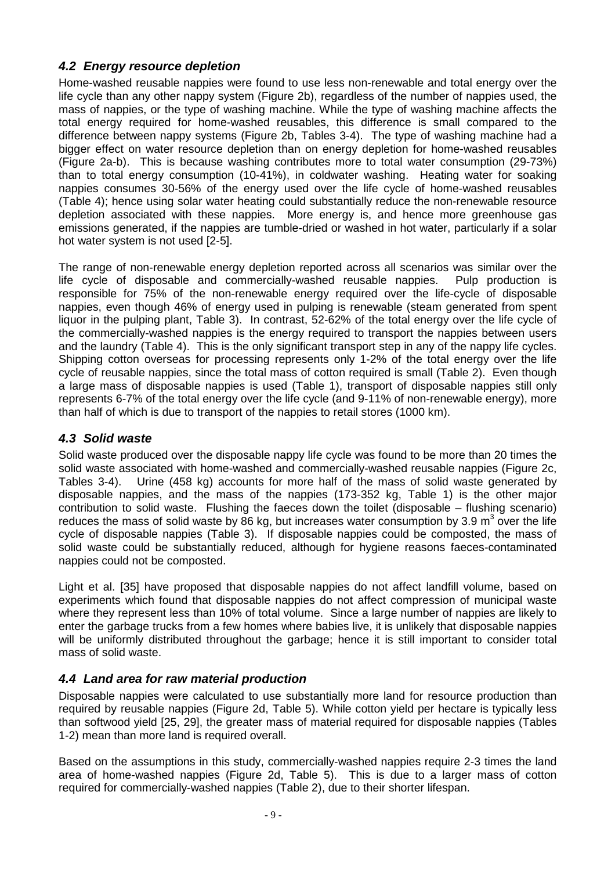## **4.2 Energy resource depletion**

Home-washed reusable nappies were found to use less non-renewable and total energy over the life cycle than any other nappy system (Figure 2b), regardless of the number of nappies used, the mass of nappies, or the type of washing machine. While the type of washing machine affects the total energy required for home-washed reusables, this difference is small compared to the difference between nappy systems (Figure 2b, Tables 3-4). The type of washing machine had a bigger effect on water resource depletion than on energy depletion for home-washed reusables (Figure 2a-b). This is because washing contributes more to total water consumption (29-73%) than to total energy consumption (10-41%), in coldwater washing. Heating water for soaking nappies consumes 30-56% of the energy used over the life cycle of home-washed reusables (Table 4); hence using solar water heating could substantially reduce the non-renewable resource depletion associated with these nappies. More energy is, and hence more greenhouse gas emissions generated, if the nappies are tumble-dried or washed in hot water, particularly if a solar hot water system is not used [2-5].

The range of non-renewable energy depletion reported across all scenarios was similar over the life cycle of disposable and commercially-washed reusable nappies. Pulp production is responsible for 75% of the non-renewable energy required over the life-cycle of disposable nappies, even though 46% of energy used in pulping is renewable (steam generated from spent liquor in the pulping plant, Table 3). In contrast, 52-62% of the total energy over the life cycle of the commercially-washed nappies is the energy required to transport the nappies between users and the laundry (Table 4). This is the only significant transport step in any of the nappy life cycles. Shipping cotton overseas for processing represents only 1-2% of the total energy over the life cycle of reusable nappies, since the total mass of cotton required is small (Table 2). Even though a large mass of disposable nappies is used (Table 1), transport of disposable nappies still only represents 6-7% of the total energy over the life cycle (and 9-11% of non-renewable energy), more than half of which is due to transport of the nappies to retail stores (1000 km).

## **4.3 Solid waste**

Solid waste produced over the disposable nappy life cycle was found to be more than 20 times the solid waste associated with home-washed and commercially-washed reusable nappies (Figure 2c, Tables 3-4). Urine (458 kg) accounts for more half of the mass of solid waste generated by disposable nappies, and the mass of the nappies (173-352 kg, Table 1) is the other major contribution to solid waste. Flushing the faeces down the toilet (disposable – flushing scenario) reduces the mass of solid waste by 86 kg, but increases water consumption by 3.9 m<sup>3</sup> over the life cycle of disposable nappies (Table 3). If disposable nappies could be composted, the mass of solid waste could be substantially reduced, although for hygiene reasons faeces-contaminated nappies could not be composted.

Light et al. [35] have proposed that disposable nappies do not affect landfill volume, based on experiments which found that disposable nappies do not affect compression of municipal waste where they represent less than 10% of total volume. Since a large number of nappies are likely to enter the garbage trucks from a few homes where babies live, it is unlikely that disposable nappies will be uniformly distributed throughout the garbage; hence it is still important to consider total mass of solid waste.

## **4.4 Land area for raw material production**

Disposable nappies were calculated to use substantially more land for resource production than required by reusable nappies (Figure 2d, Table 5). While cotton yield per hectare is typically less than softwood yield [25, 29], the greater mass of material required for disposable nappies (Tables 1-2) mean than more land is required overall.

Based on the assumptions in this study, commercially-washed nappies require 2-3 times the land area of home-washed nappies (Figure 2d, Table 5). This is due to a larger mass of cotton required for commercially-washed nappies (Table 2), due to their shorter lifespan.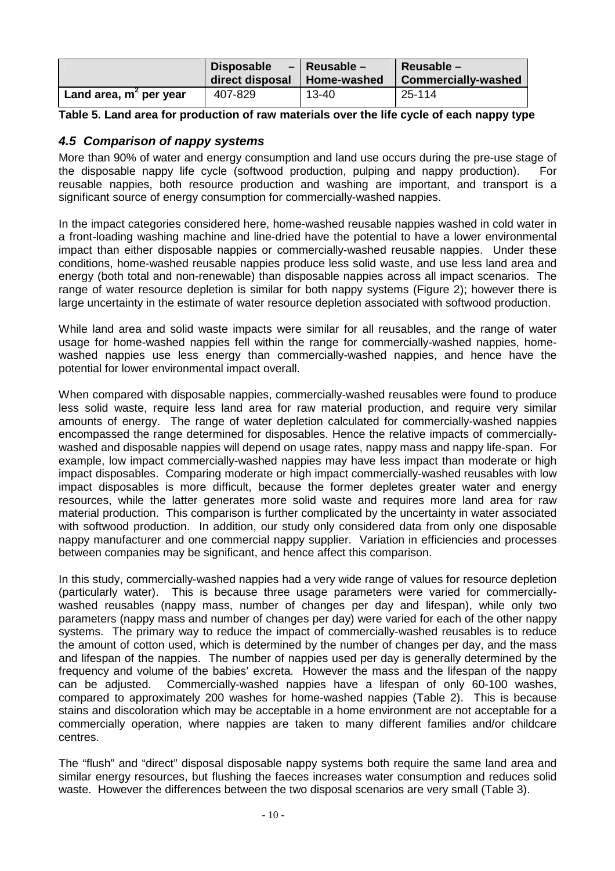|                          | <b>Disposable</b> | $-$ Reusable $-$ | $Reusable -$               |
|--------------------------|-------------------|------------------|----------------------------|
|                          | direct disposal   | Home-washed      | <b>Commercially-washed</b> |
| Land area, $m2$ per year | 407-829           | 13-40            | 25-114                     |

**Table 5. Land area for production of raw materials over the life cycle of each nappy type** 

#### **4.5 Comparison of nappy systems**

More than 90% of water and energy consumption and land use occurs during the pre-use stage of the disposable nappy life cycle (softwood production, pulping and nappy production). For reusable nappies, both resource production and washing are important, and transport is a significant source of energy consumption for commercially-washed nappies.

In the impact categories considered here, home-washed reusable nappies washed in cold water in a front-loading washing machine and line-dried have the potential to have a lower environmental impact than either disposable nappies or commercially-washed reusable nappies. Under these conditions, home-washed reusable nappies produce less solid waste, and use less land area and energy (both total and non-renewable) than disposable nappies across all impact scenarios. The range of water resource depletion is similar for both nappy systems (Figure 2); however there is large uncertainty in the estimate of water resource depletion associated with softwood production.

While land area and solid waste impacts were similar for all reusables, and the range of water usage for home-washed nappies fell within the range for commercially-washed nappies, homewashed nappies use less energy than commercially-washed nappies, and hence have the potential for lower environmental impact overall.

When compared with disposable nappies, commercially-washed reusables were found to produce less solid waste, require less land area for raw material production, and require very similar amounts of energy. The range of water depletion calculated for commercially-washed nappies encompassed the range determined for disposables. Hence the relative impacts of commerciallywashed and disposable nappies will depend on usage rates, nappy mass and nappy life-span. For example, low impact commercially-washed nappies may have less impact than moderate or high impact disposables. Comparing moderate or high impact commercially-washed reusables with low impact disposables is more difficult, because the former depletes greater water and energy resources, while the latter generates more solid waste and requires more land area for raw material production. This comparison is further complicated by the uncertainty in water associated with softwood production. In addition, our study only considered data from only one disposable nappy manufacturer and one commercial nappy supplier. Variation in efficiencies and processes between companies may be significant, and hence affect this comparison.

In this study, commercially-washed nappies had a very wide range of values for resource depletion (particularly water). This is because three usage parameters were varied for commerciallywashed reusables (nappy mass, number of changes per day and lifespan), while only two parameters (nappy mass and number of changes per day) were varied for each of the other nappy systems. The primary way to reduce the impact of commercially-washed reusables is to reduce the amount of cotton used, which is determined by the number of changes per day, and the mass and lifespan of the nappies. The number of nappies used per day is generally determined by the frequency and volume of the babies' excreta. However the mass and the lifespan of the nappy can be adjusted. Commercially-washed nappies have a lifespan of only 60-100 washes, compared to approximately 200 washes for home-washed nappies (Table 2). This is because stains and discoloration which may be acceptable in a home environment are not acceptable for a commercially operation, where nappies are taken to many different families and/or childcare centres.

The "flush" and "direct" disposal disposable nappy systems both require the same land area and similar energy resources, but flushing the faeces increases water consumption and reduces solid waste. However the differences between the two disposal scenarios are very small (Table 3).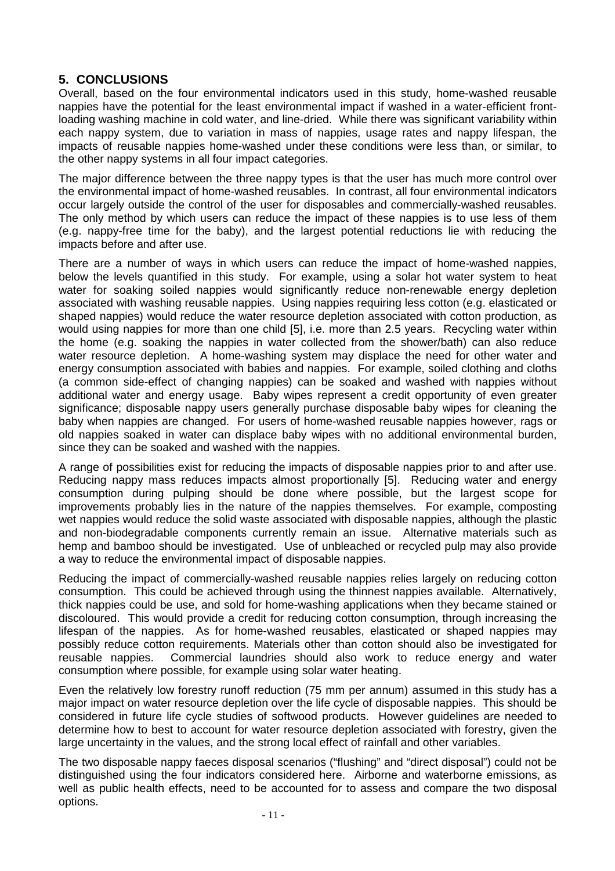## **5. CONCLUSIONS**

Overall, based on the four environmental indicators used in this study, home-washed reusable nappies have the potential for the least environmental impact if washed in a water-efficient frontloading washing machine in cold water, and line-dried. While there was significant variability within each nappy system, due to variation in mass of nappies, usage rates and nappy lifespan, the impacts of reusable nappies home-washed under these conditions were less than, or similar, to the other nappy systems in all four impact categories.

The major difference between the three nappy types is that the user has much more control over the environmental impact of home-washed reusables. In contrast, all four environmental indicators occur largely outside the control of the user for disposables and commercially-washed reusables. The only method by which users can reduce the impact of these nappies is to use less of them (e.g. nappy-free time for the baby), and the largest potential reductions lie with reducing the impacts before and after use.

There are a number of ways in which users can reduce the impact of home-washed nappies, below the levels quantified in this study. For example, using a solar hot water system to heat water for soaking soiled nappies would significantly reduce non-renewable energy depletion associated with washing reusable nappies. Using nappies requiring less cotton (e.g. elasticated or shaped nappies) would reduce the water resource depletion associated with cotton production, as would using nappies for more than one child [5], i.e. more than 2.5 years. Recycling water within the home (e.g. soaking the nappies in water collected from the shower/bath) can also reduce water resource depletion. A home-washing system may displace the need for other water and energy consumption associated with babies and nappies. For example, soiled clothing and cloths (a common side-effect of changing nappies) can be soaked and washed with nappies without additional water and energy usage. Baby wipes represent a credit opportunity of even greater significance; disposable nappy users generally purchase disposable baby wipes for cleaning the baby when nappies are changed. For users of home-washed reusable nappies however, rags or old nappies soaked in water can displace baby wipes with no additional environmental burden, since they can be soaked and washed with the nappies.

A range of possibilities exist for reducing the impacts of disposable nappies prior to and after use. Reducing nappy mass reduces impacts almost proportionally [5]. Reducing water and energy consumption during pulping should be done where possible, but the largest scope for improvements probably lies in the nature of the nappies themselves. For example, composting wet nappies would reduce the solid waste associated with disposable nappies, although the plastic and non-biodegradable components currently remain an issue. Alternative materials such as hemp and bamboo should be investigated. Use of unbleached or recycled pulp may also provide a way to reduce the environmental impact of disposable nappies.

Reducing the impact of commercially-washed reusable nappies relies largely on reducing cotton consumption. This could be achieved through using the thinnest nappies available. Alternatively, thick nappies could be use, and sold for home-washing applications when they became stained or discoloured. This would provide a credit for reducing cotton consumption, through increasing the lifespan of the nappies. As for home-washed reusables, elasticated or shaped nappies may possibly reduce cotton requirements. Materials other than cotton should also be investigated for reusable nappies. Commercial laundries should also work to reduce energy and water consumption where possible, for example using solar water heating.

Even the relatively low forestry runoff reduction (75 mm per annum) assumed in this study has a major impact on water resource depletion over the life cycle of disposable nappies. This should be considered in future life cycle studies of softwood products. However guidelines are needed to determine how to best to account for water resource depletion associated with forestry, given the large uncertainty in the values, and the strong local effect of rainfall and other variables.

The two disposable nappy faeces disposal scenarios ("flushing" and "direct disposal") could not be distinguished using the four indicators considered here. Airborne and waterborne emissions, as well as public health effects, need to be accounted for to assess and compare the two disposal options.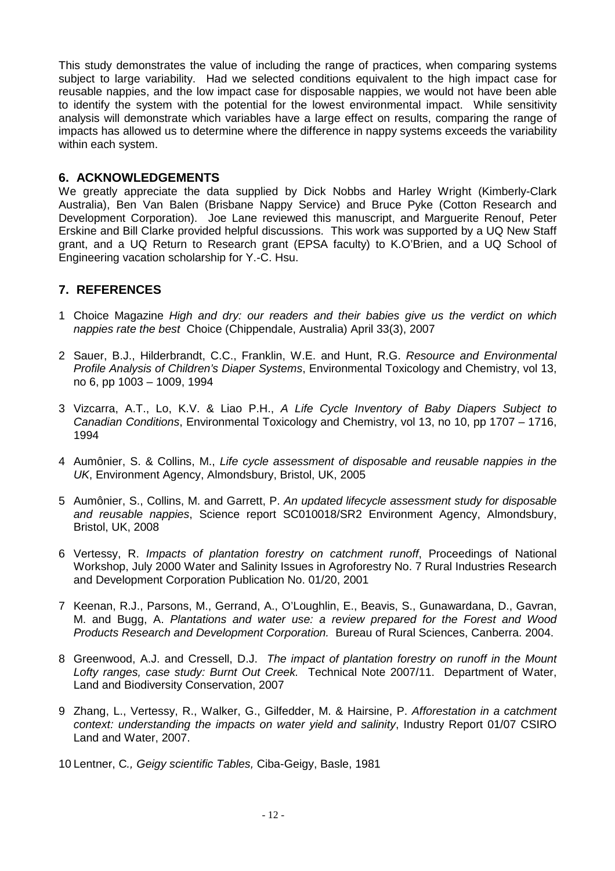This study demonstrates the value of including the range of practices, when comparing systems subject to large variability. Had we selected conditions equivalent to the high impact case for reusable nappies, and the low impact case for disposable nappies, we would not have been able to identify the system with the potential for the lowest environmental impact. While sensitivity analysis will demonstrate which variables have a large effect on results, comparing the range of impacts has allowed us to determine where the difference in nappy systems exceeds the variability within each system.

#### **6. ACKNOWLEDGEMENTS**

We greatly appreciate the data supplied by Dick Nobbs and Harley Wright (Kimberly-Clark Australia), Ben Van Balen (Brisbane Nappy Service) and Bruce Pyke (Cotton Research and Development Corporation). Joe Lane reviewed this manuscript, and Marguerite Renouf, Peter Erskine and Bill Clarke provided helpful discussions. This work was supported by a UQ New Staff grant, and a UQ Return to Research grant (EPSA faculty) to K.O'Brien, and a UQ School of Engineering vacation scholarship for Y.-C. Hsu.

#### **7. REFERENCES**

- 1 Choice Magazine High and dry: our readers and their babies give us the verdict on which nappies rate the best Choice (Chippendale, Australia) April 33(3), 2007
- 2 Sauer, B.J., Hilderbrandt, C.C., Franklin, W.E. and Hunt, R.G. Resource and Environmental Profile Analysis of Children's Diaper Systems, Environmental Toxicology and Chemistry, vol 13, no 6, pp 1003 – 1009, 1994
- 3 Vizcarra, A.T., Lo, K.V. & Liao P.H., A Life Cycle Inventory of Baby Diapers Subject to Canadian Conditions, Environmental Toxicology and Chemistry, vol 13, no 10, pp 1707 – 1716, 1994
- 4 Aumônier, S. & Collins, M., Life cycle assessment of disposable and reusable nappies in the UK, Environment Agency, Almondsbury, Bristol, UK, 2005
- 5 Aumônier, S., Collins, M. and Garrett, P. An updated lifecycle assessment study for disposable and reusable nappies, Science report SC010018/SR2 Environment Agency, Almondsbury, Bristol, UK, 2008
- 6 Vertessy, R. Impacts of plantation forestry on catchment runoff, Proceedings of National Workshop, July 2000 Water and Salinity Issues in Agroforestry No. 7 Rural Industries Research and Development Corporation Publication No. 01/20, 2001
- 7 Keenan, R.J., Parsons, M., Gerrand, A., O'Loughlin, E., Beavis, S., Gunawardana, D., Gavran, M. and Bugg, A. Plantations and water use: a review prepared for the Forest and Wood Products Research and Development Corporation. Bureau of Rural Sciences, Canberra. 2004.
- 8 Greenwood, A.J. and Cressell, D.J. The impact of plantation forestry on runoff in the Mount Lofty ranges, case study: Burnt Out Creek. Technical Note 2007/11. Department of Water, Land and Biodiversity Conservation, 2007
- 9 Zhang, L., Vertessy, R., Walker, G., Gilfedder, M. & Hairsine, P. Afforestation in a catchment context: understanding the impacts on water yield and salinity, Industry Report 01/07 CSIRO Land and Water, 2007.
- 10 Lentner, C., Geigy scientific Tables, Ciba-Geigy, Basle, 1981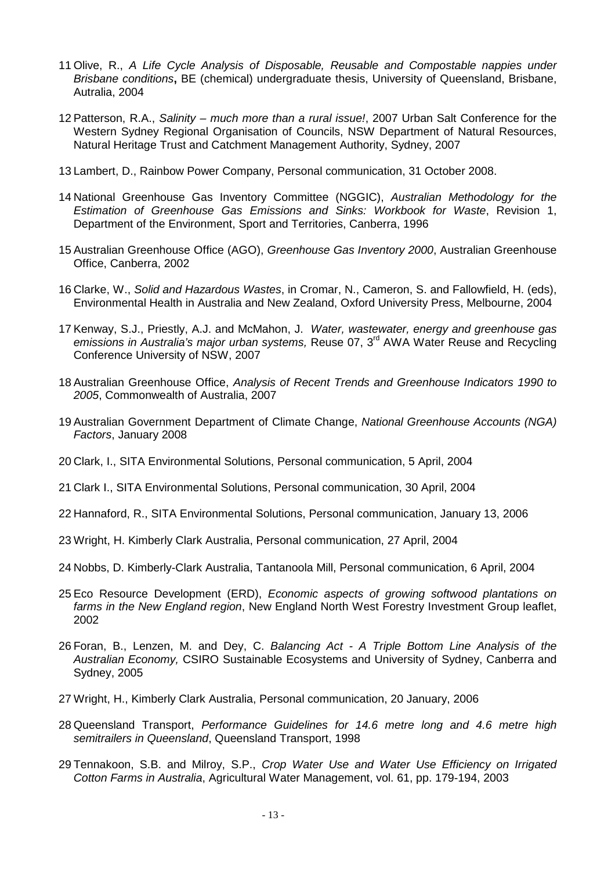- 11 Olive, R., A Life Cycle Analysis of Disposable, Reusable and Compostable nappies under Brisbane conditions**,** BE (chemical) undergraduate thesis, University of Queensland, Brisbane, Autralia, 2004
- 12 Patterson, R.A., Salinity much more than a rural issue!, 2007 Urban Salt Conference for the Western Sydney Regional Organisation of Councils, NSW Department of Natural Resources, Natural Heritage Trust and Catchment Management Authority, Sydney, 2007
- 13 Lambert, D., Rainbow Power Company, Personal communication, 31 October 2008.
- 14 National Greenhouse Gas Inventory Committee (NGGIC), Australian Methodology for the Estimation of Greenhouse Gas Emissions and Sinks: Workbook for Waste, Revision 1, Department of the Environment, Sport and Territories, Canberra, 1996
- 15 Australian Greenhouse Office (AGO), Greenhouse Gas Inventory 2000, Australian Greenhouse Office, Canberra, 2002
- 16 Clarke, W., Solid and Hazardous Wastes, in Cromar, N., Cameron, S. and Fallowfield, H. (eds), Environmental Health in Australia and New Zealand, Oxford University Press, Melbourne, 2004
- 17 Kenway, S.J., Priestly, A.J. and McMahon, J. Water, wastewater, energy and greenhouse gas emissions in Australia's major urban systems, Reuse 07, 3<sup>rd</sup> AWA Water Reuse and Recycling Conference University of NSW, 2007
- 18 Australian Greenhouse Office, Analysis of Recent Trends and Greenhouse Indicators 1990 to 2005, Commonwealth of Australia, 2007
- 19 Australian Government Department of Climate Change, National Greenhouse Accounts (NGA) Factors, January 2008
- 20 Clark, I., SITA Environmental Solutions, Personal communication, 5 April, 2004
- 21 Clark I., SITA Environmental Solutions, Personal communication, 30 April, 2004
- 22 Hannaford, R., SITA Environmental Solutions, Personal communication, January 13, 2006
- 23 Wright, H. Kimberly Clark Australia, Personal communication, 27 April, 2004
- 24 Nobbs, D. Kimberly-Clark Australia, Tantanoola Mill, Personal communication, 6 April, 2004
- 25 Eco Resource Development (ERD), Economic aspects of growing softwood plantations on farms in the New England region, New England North West Forestry Investment Group leaflet, 2002
- 26 Foran, B., Lenzen, M. and Dey, C. Balancing Act A Triple Bottom Line Analysis of the Australian Economy, CSIRO Sustainable Ecosystems and University of Sydney, Canberra and Sydney, 2005
- 27 Wright, H., Kimberly Clark Australia, Personal communication, 20 January, 2006
- 28 Queensland Transport, Performance Guidelines for 14.6 metre long and 4.6 metre high semitrailers in Queensland, Queensland Transport, 1998
- 29 Tennakoon, S.B. and Milroy, S.P., Crop Water Use and Water Use Efficiency on Irrigated Cotton Farms in Australia, Agricultural Water Management, vol. 61, pp. 179-194, 2003